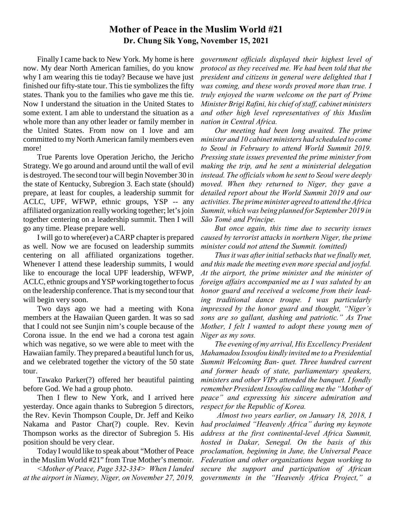# **Mother of Peace in the Muslim World #21 Dr. Chung Sik Yong, November 15, 2021**

Finally I came back to New York. My home is here now. My dear North American families, do you know why I am wearing this tie today? Because we have just finished our fifty-state tour. This tie symbolizes the fifty states. Thank you to the families who gave me this tie. Now I understand the situation in the United States to some extent. I am able to understand the situation as a whole more than any other leader or family member in the United States. From now on I love and am committed to my North American family members even more!

True Parents love Operation Jericho, the Jericho Strategy. We go around and around until the wall of evil is destroyed. The second tour will begin November 30 in the state of Kentucky, Subregion 3. Each state (should) prepare, at least for couples, a leadership summit for ACLC, UPF, WFWP, ethnic groups, YSP -- any affiliated organization really working together; let's join together centering on a leadership summit. Then I will go any time. Please prepare well.

I will go to where(ever) a CARP chapter is prepared as well. Now we are focused on leadership summits centering on all affiliated organizations together. Whenever I attend these leadership summits, I would like to encourage the local UPF leadership, WFWP, ACLC, ethnic groups and YSP working together to focus on the leadership conference. That is my second tour that will begin very soon.

Two days ago we had a meeting with Kona members at the Hawaiian Queen garden. It was so sad that I could not see Sunjin nim's couple because of the Corona issue. In the end we had a corona test again which was negative, so we were able to meet with the Hawaiian family. They prepared a beautiful lunch for us, and we celebrated together the victory of the 50 state tour.

Tawako Parker(?) offered her beautiful painting before God. We had a group photo.

Then I flew to New York, and I arrived here yesterday. Once again thanks to Subregion 5 directors, the Rev. Kevin Thompson Couple, Dr. Jeff and Keiko Nakama and Pastor Char(?) couple. Rev. Kevin Thompson works as the director of Subregion 5. His position should be very clear.

Today I would like to speak about "Mother of Peace in the Muslim World #21" from True Mother's memoir.

*<Mother of Peace, Page 332-334> When I landed at the airport in Niamey, Niger, on November 27, 2019,*

*government officials displayed their highest level of protocol as they received me. We had been told that the president and citizens in general were delighted that I was coming, and these words proved more than true. I truly enjoyed the warm welcome on the part of Prime Minister Brigi Rafini, his chief of staff, cabinet ministers and other high level representatives of this Muslim nation in Central Africa.* 

*Our meeting had been long awaited. The prime minister and 10 cabinet ministers had scheduled to come to Seoul in February to attend World Summit 2019. Pressing state issues prevented the prime minister from making the trip, and he sent a ministerial delegation instead. The officials whom he sent to Seoul were deeply moved. When they returned to Niger, they gave a detailed report about the World Summit 2019 and our activities. The prime minister agreed to attend the Africa Summit, which was being planned for September 2019 in São Tomé and Príncipe.* 

*But once again, this time due to security issues caused by terrorist attacks in northern Niger, the prime minister could not attend the Summit. (omitted)* 

*Thus it was after initial setbacks that we finally met, and this made the meeting even more special and joyful. At the airport, the prime minister and the minister of foreign affairs accompanied me as I was saluted by an honor guard and received a welcome from their leading traditional dance troupe. I was particularly impressed by the honor guard and thought, "Niger's sons are so gallant, dashing and patriotic." As True Mother, I felt I wanted to adopt these young men of Niger as my sons.* 

*The evening of my arrival, His Excellency President Mahamadou Issoufou kindly invited me to a Presidential Summit Welcoming Ban- quet. Three hundred current and former heads of state, parliamentary speakers, ministers and other VIPs attended the banquet. I fondly remember President Issoufou calling me the "Mother of peace" and expressing his sincere admiration and respect for the Republic of Korea.* 

 *Almost two years earlier, on January 18, 2018, I had proclaimed "Heavenly Africa" during my keynote address at the first continental-level Africa Summit, hosted in Dakar, Senegal. On the basis of this proclamation, beginning in June, the Universal Peace Federation and other organizations began working to secure the support and participation of African governments in the "Heavenly Africa Project," a*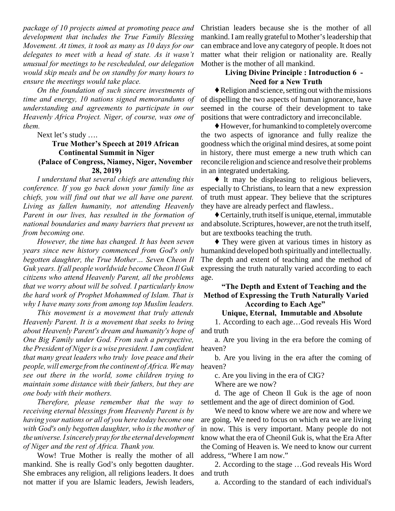*package of 10 projects aimed at promoting peace and development that includes the True Family Blessing Movement. At times, it took as many as 10 days for our delegates to meet with a head of state. As it wasn't unusual for meetings to be rescheduled, our delegation would skip meals and be on standby for many hours to ensure the meetings would take place.* 

*On the foundation of such sincere investments of time and energy, 10 nations signed memorandums of understanding and agreements to participate in our Heavenly Africa Project. Niger, of course, was one of them.*

Next let's study ….

### **True Mother's Speech at 2019 African Continental Summit in Niger (Palace of Congress, Niamey, Niger, November 28, 2019)**

*I understand that several chiefs are attending this conference. If you go back down your family line as chiefs, you will find out that we all have one parent. Living as fallen humanity, not attending Heavenly Parent in our lives, has resulted in the formation of national boundaries and many barriers that prevent us from becoming one.* 

*However, the time has changed. It has been seven years since new history commenced from God's only begotten daughter, the True Mother… Seven Cheon Il Guk years. If all people worldwide become Cheon Il Guk citizens who attend Heavenly Parent, all the problems that we worry about will be solved. I particularly know the hard work of Prophet Mohammed of Islam. That is why I have many sons from among top Muslim leaders.* 

*This movement is a movement that truly attends Heavenly Parent. It is a movement that seeks to bring about Heavenly Parent's dream and humanity's hope of One Big Family under God. From such a perspective, the President of Niger is a wise president. I am confident that many great leaders who truly love peace and their people, will emerge from the continent of Africa. We may see out there in the world, some children trying to maintain some distance with their fathers, but they are one body with their mothers.* 

*Therefore, please remember that the way to receiving eternal blessings from Heavenly Parent is by having your nations or all of you here today become one with God's only begotten daughter, who is the mother of the universe. I sincerely pray for the eternal development of Niger and the rest of Africa. Thank you.*

Wow! True Mother is really the mother of all mankind. She is really God's only begotten daughter. She embraces any religion, all religions leaders. It does not matter if you are Islamic leaders, Jewish leaders,

Christian leaders because she is the mother of all mankind. I am really grateful to Mother's leadership that can embrace and love any category of people. It does not matter what their religion or nationality are. Really Mother is the mother of all mankind.

## **Living Divine Principle : Introduction 6 - Need for a New Truth**

 $\blacklozenge$  Religion and science, setting out with the missions of dispelling the two aspects of human ignorance, have seemed in the course of their development to take positions that were contradictory and irreconcilable.

 $\blacklozenge$  However, for humankind to completely overcome the two aspects of ignorance and fully realize the goodness which the original mind desires, at some point in history, there must emerge a new truth which can reconcile religion and science and resolve their problems in an integrated undertaking.

 $\blacklozenge$  It may be displeasing to religious believers, especially to Christians, to learn that a new expression of truth must appear. They believe that the scriptures they have are already perfect and flawless..

 $\blacklozenge$  Certainly, truth itself is unique, eternal, immutable and absolute. Scriptures, however, are not the truth itself, but are textbooks teaching the truth.

 $\blacklozenge$  They were given at various times in history as humankind developed both spiritually and intellectually. The depth and extent of teaching and the method of expressing the truth naturally varied according to each age.

#### **"The Depth and Extent of Teaching and the Method of Expressing the Truth Naturally Varied According to Each Age"**

#### **Unique, Eternal, Immutable and Absolute**

1. According to each age…God reveals His Word and truth

a. Are you living in the era before the coming of heaven?

b. Are you living in the era after the coming of heaven?

c. Are you living in the era of CIG?

Where are we now?

d. The age of Cheon Il Guk is the age of noon settlement and the age of direct dominion of God.

We need to know where we are now and where we are going. We need to focus on which era we are living in now. This is very important. Many people do not know what the era of Cheonil Guk is, what the Era After the Coming of Heaven is. We need to know our current address, "Where I am now."

2. According to the stage …God reveals His Word and truth

a. According to the standard of each individual's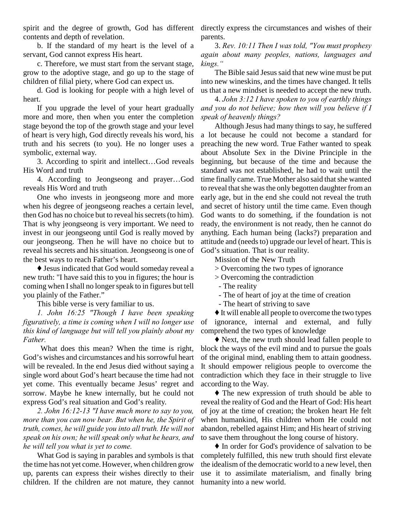spirit and the degree of growth, God has different directly express the circumstances and wishes of their contents and depth of revelation.

b. If the standard of my heart is the level of a servant, God cannot express His heart.

c. Therefore, we must start from the servant stage, grow to the adoptive stage, and go up to the stage of children of filial piety, where God can expect us.

d. God is looking for people with a high level of heart.

If you upgrade the level of your heart gradually more and more, then when you enter the completion stage beyond the top of the growth stage and your level of heart is very high, God directly reveals his word, his truth and his secrets (to you). He no longer uses a symbolic, external way.

3. According to spirit and intellect…God reveals His Word and truth

4. According to Jeongseong and prayer…God reveals His Word and truth

One who invests in jeongseong more and more when his degree of jeongseong reaches a certain level, then God has no choice but to reveal his secrets (to him). That is why jeongseong is very important. We need to invest in our jeongseong until God is really moved by our jeongseong. Then he will have no choice but to reveal his secrets and his situation. Jeongseong is one of the best ways to reach Father's heart.

 $\blacklozenge$  Jesus indicated that God would someday reveal a new truth: "I have said this to you in figures; the hour is coming when I shall no longer speak to in figures but tell you plainly of the Father."

This bible verse is very familiar to us.

*1. John 16:25 "Though I have been speaking figuratively, a time is coming when I will no longer use this kind of language but will tell you plainly about my Father.* 

 What does this mean? When the time is right, God's wishes and circumstances and his sorrowful heart will be revealed. In the end Jesus died without saying a single word about God's heart because the time had not yet come. This eventually became Jesus' regret and sorrow. Maybe he knew internally, but he could not express God's real situation and God's reality.

*2. John 16:12-13 "I have much more to say to you, more than you can now bear. But when he, the Spirit of truth, comes, he will guide you into all truth. He will not speak on his own; he will speak only what he hears, and he will tell you what is yet to come.* 

What God is saying in parables and symbols is that the time has not yet come. However, when children grow up, parents can express their wishes directly to their children. If the children are not mature, they cannot parents.

3. *Rev. 10:11 Then I was told, "You must prophesy again about many peoples, nations, languages and kings."* 

The Bible said Jesus said that new wine must be put into new wineskins, and the times have changed. It tells us that a new mindset is needed to accept the new truth.

4. *John 3:12 I have spoken to you of earthly things and you do not believe; how then will you believe if I speak of heavenly things?*

Although Jesus had many things to say, he suffered a lot because he could not become a standard for preaching the new word. True Father wanted to speak about Absolute Sex in the Divine Principle in the beginning, but because of the time and because the standard was not established, he had to wait until the time finally came. True Mother also said that she wanted to reveal that she was the only begotten daughter from an early age, but in the end she could not reveal the truth and secret of history until the time came. Even though God wants to do something, if the foundation is not ready, the environment is not ready, then he cannot do anything. Each human being (lacks?) preparation and attitude and (needs to) upgrade our level of heart. This is God's situation. That is our reality.

Mission of the New Truth

- > Overcoming the two types of ignorance
- > Overcoming the contradiction
- The reality
- The of heart of joy at the time of creation
- The heart of striving to save

 $\blacklozenge$  It will enable all people to overcome the two types of ignorance, internal and external, and fully comprehend the two types of knowledge

 $\blacklozenge$  Next, the new truth should lead fallen people to block the ways of the evil mind and to pursue the goals of the original mind, enabling them to attain goodness. It should empower religious people to overcome the contradiction which they face in their struggle to live according to the Way.

 $\blacklozenge$  The new expression of truth should be able to reveal the reality of God and the Heart of God: His heart of joy at the time of creation; the broken heart He felt when humankind, His children whom He could not abandon, rebelled against Him; and His heart of striving to save them throughout the long course of history.

 $\blacklozenge$  In order for God's providence of salvation to be completely fulfilled, this new truth should first elevate the idealism of the democratic world to a new level, then use it to assimilate materialism, and finally bring humanity into a new world.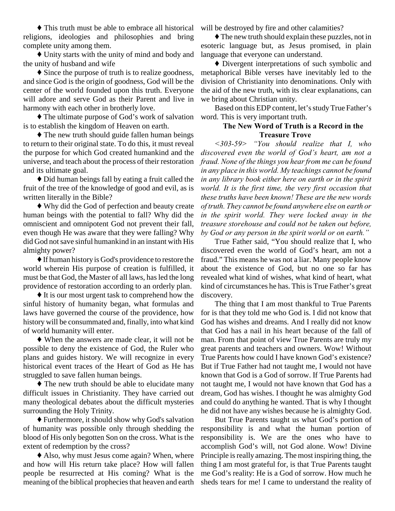$\blacklozenge$  This truth must be able to embrace all historical religions, ideologies and philosophies and bring complete unity among them.

 $\blacklozenge$  Unity starts with the unity of mind and body and the unity of husband and wife

 $\blacklozenge$  Since the purpose of truth is to realize goodness, and since God is the origin of goodness, God will be the center of the world founded upon this truth. Everyone will adore and serve God as their Parent and live in harmony with each other in brotherly love.

 $\blacklozenge$  The ultimate purpose of God's work of salvation is to establish the kingdom of Heaven on earth.

 $\triangle$  The new truth should guide fallen human beings to return to their original state. To do this, it must reveal the purpose for which God created humankind and the universe, and teach about the process of their restoration and its ultimate goal.

 $\blacklozenge$  Did human beings fall by eating a fruit called the fruit of the tree of the knowledge of good and evil, as is written literally in the Bible?

Ë Why did the God of perfection and beauty create human beings with the potential to fall? Why did the omniscient and omnipotent God not prevent their fall, even though He was aware that they were falling? Why did God not save sinful humankind in an instant with His almighty power?

Ë If human history is God's providence to restore the world wherein His purpose of creation is fulfilled, it must be that God, the Master of all laws, has led the long providence of restoration according to an orderly plan.

 $\blacklozenge$  It is our most urgent task to comprehend how the sinful history of humanity began, what formulas and laws have governed the course of the providence, how history will be consummated and, finally, into what kind of world humanity will enter.

 $\blacklozenge$  When the answers are made clear, it will not be possible to deny the existence of God, the Ruler who plans and guides history. We will recognize in every historical event traces of the Heart of God as He has struggled to save fallen human beings.

 $\blacklozenge$  The new truth should be able to elucidate many difficult issues in Christianity. They have carried out many theological debates about the difficult mysteries surrounding the Holy Trinity.

Ë Furthermore, it should show why God's salvation of humanity was possible only through shedding the blood of His only begotten Son on the cross. What is the extent of redemption by the cross?

 $\triangle$  Also, why must Jesus come again? When, where and how will His return take place? How will fallen people be resurrected at His coming? What is the meaning of the biblical prophecies that heaven and earth

will be destroyed by fire and other calamities?

 $\blacklozenge$  The new truth should explain these puzzles, not in esoteric language but, as Jesus promised, in plain language that everyone can understand.

Ë Divergent interpretations of such symbolic and metaphorical Bible verses have inevitably led to the division of Christianity into denominations. Only with the aid of the new truth, with its clear explanations, can we bring about Christian unity.

Based on this EDP content, let's study True Father's word. This is very important truth.

## **The New Word of Truth is a Record in the Treasure Trove**

*<303-59> "You should realize that I, who discovered even the world of God's heart, am not a fraud. None of the things you hear from me can be found in any place in this world. My teachings cannot be found in any library book either here on earth or in the spirit world. It is the first time, the very first occasion that these truths have been known! These are the new words of truth. They cannot be found anywhere else on earth or in the spirit world. They were locked away in the treasure storehouse and could not be taken out before, by God or any person in the spirit world or on earth."* 

True Father said, "You should realize that I, who discovered even the world of God's heart, am not a fraud." This means he was not a liar. Many people know about the existence of God, but no one so far has revealed what kind of wishes, what kind of heart, what kind of circumstances he has. This is True Father's great discovery.

The thing that I am most thankful to True Parents for is that they told me who God is. I did not know that God has wishes and dreams. And I really did not know that God has a nail in his heart because of the fall of man. From that point of view True Parents are truly my great parents and teachers and owners. Wow! Without True Parents how could I have known God's existence? But if True Father had not taught me, I would not have known that God is a God of sorrow. If True Parents had not taught me, I would not have known that God has a dream, God has wishes. I thought he was almighty God and could do anything he wanted. That is why I thought he did not have any wishes because he is almighty God.

But True Parents taught us what God's portion of responsibility is and what the human portion of responsibility is. We are the ones who have to accomplish God's will, not God alone. Wow! Divine Principle is really amazing. The most inspiring thing, the thing I am most grateful for, is that True Parents taught me God's reality: He is a God of sorrow. How much he sheds tears for me! I came to understand the reality of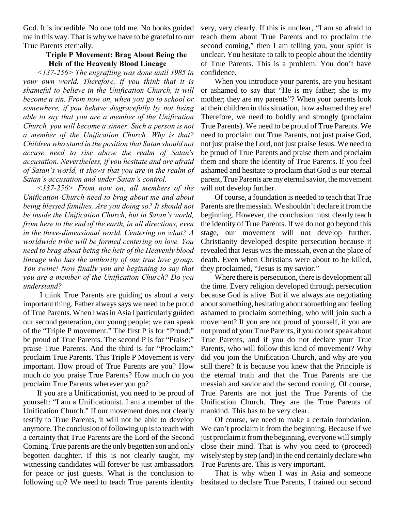God. It is incredible. No one told me. No books guided me in this way. That is why we have to be grateful to our True Parents eternally.

#### **Triple P Movement: Brag About Being the Heir of the Heavenly Blood Lineage**

*<137-256> The engrafting was done until 1985 in your own world. Therefore, if you think that it is shameful to believe in the Unification Church, it will become a sin. From now on, when you go to school or somewhere, if you behave disgracefully by not being able to say that you are a member of the Unification Church, you will become a sinner. Such a person is not a member of the Unification Church. Why is that? Children who stand in the position that Satan should not accuse need to rise above the realm of Satan's accusation. Nevertheless, if you hesitate and are afraid of Satan's world, it shows that you are in the realm of Satan's accusation and under Satan's control.* 

*<137-256> From now on, all members of the Unification Church need to brag about me and about being blessed families. Are you doing so? It should not be inside the Unification Church, but in Satan's world, from here to the end of the earth, in all directions, even in the three-dimensional world. Centering on what? A worldwide tribe will be formed centering on love. You need to brag about being the heir of the Heavenly blood lineage who has the authority of our true love group. You swine! Now finally you are beginning to say that you are a member of the Unification Church? Do you understand?* 

 I think True Parents are guiding us about a very important thing. Father always says we need to be proud of True Parents. When I was in Asia I particularly guided our second generation, our young people; we can speak of the "Triple P movement." The first P is for "Proud:" be proud of True Parents. The second P is for "Praise:" praise True Parents. And the third is for "Proclaim:" proclaim True Parents. This Triple P Movement is very important. How proud of True Parents are you? How much do you praise True Parents? How much do you proclaim True Parents wherever you go?

If you are a Unificationist, you need to be proud of yourself: "I am a Unificationist. I am a member of the Unification Church." If our movement does not clearly testify to True Parents, it will not be able to develop anymore. The conclusion of following up is to teach with a certainty that True Parents are the Lord of the Second Coming. True parents are the only begotten son and only begotten daughter. If this is not clearly taught, my witnessing candidates will forever be just ambassadors for peace or just guests. What is the conclusion to following up? We need to teach True parents identity very, very clearly. If this is unclear, "I am so afraid to teach them about True Parents and to proclaim the second coming," then I am telling you, your spirit is unclear. You hesitate to talk to people about the identity of True Parents. This is a problem. You don't have confidence.

When you introduce your parents, are you hesitant or ashamed to say that "He is my father; she is my mother; they are my parents"? When your parents look at their children in this situation, how ashamed they are! Therefore, we need to boldly and strongly (proclaim True Parents). We need to be proud of True Parents. We need to proclaim our True Parents, not just praise God, not just praise the Lord, not just praise Jesus. We need to be proud of True Parents and praise them and proclaim them and share the identity of True Parents. If you feel ashamed and hesitate to proclaim that God is our eternal parent, True Parents are my eternal savior, the movement will not develop further.

Of course, a foundation is needed to teach that True Parents are the messiah. We shouldn't declare it from the beginning. However, the conclusion must clearly teach the identity of True Parents. If we do not go beyond this stage, our movement will not develop further. Christianity developed despite persecution because it revealed that Jesus was the messiah, even at the place of death. Even when Christians were about to be killed, they proclaimed, "Jesus is my savior."

Where there is persecution, there is development all the time. Every religion developed through persecution because God is alive. But if we always are negotiating about something, hesitating about something and feeling ashamed to proclaim something, who will join such a movement? If you are not proud of yourself, if you are not proud of your True Parents, if you do not speak about True Parents, and if you do not declare your True Parents, who will follow this kind of movement? Why did you join the Unification Church, and why are you still there? It is because you knew that the Principle is the eternal truth and that the True Parents are the messiah and savior and the second coming. Of course, True Parents are not just the True Parents of the Unification Church. They are the True Parents of mankind. This has to be very clear.

Of course, we need to make a certain foundation. We can't proclaim it from the beginning. Because if we just proclaim it from the beginning, everyone will simply close their mind. That is why you need to (proceed) wisely step by step (and) in the end certainly declare who True Parents are. This is very important.

That is why when I was in Asia and someone hesitated to declare True Parents, I trained our second